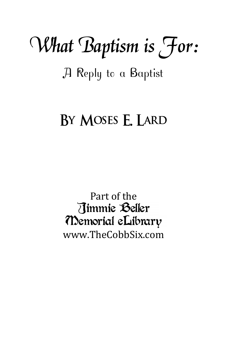# What Baptism is For:

A Reply to a Baptist

## By Moses E. Lard

Part of the Jimmie Beller Memorial eLibrary www.TheCobbSix.com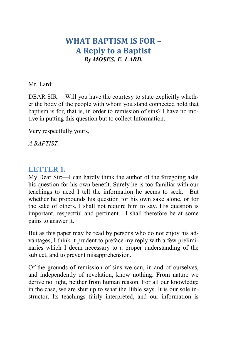### **WHAT BAPTISM IS FOR – A Reply to a Baptist** *By MOSES. E. LARD.*

Mr. Lard:

DEAR SIR:—Will you have the courtesy to state explicitly whether the body of the people with whom you stand connected hold that baptism is for, that is, in order to remission of sins? I have no motive in putting this question but to collect Information.

Very respectfully yours,

*A BAPTIST.*

#### **LETTER 1.**

My Dear Sir:—I can hardly think the author of the foregoing asks his question for his own benefit. Surely he is too familiar with our teachings to need I tell the information he seems to seek.—But whether he propounds his question for his own sake alone, or for the sake of others, I shall not require him to say. His question is important, respectful and pertinent. I shall therefore be at some pains to answer it.

But as this paper may be read by persons who do not enjoy his advantages, I think it prudent to preface my reply with a few preliminaries which I deem necessary to a proper understanding of the subject, and to prevent misapprehension.

Of the grounds of remission of sins we can, in and of ourselves, and independently of revelation, know nothing. From nature we derive no light, neither from human reason. For all our knowledge in the case, we are shut up to what the Bible says. It is our sole instructor. Its teachings fairly interpreted, and our information is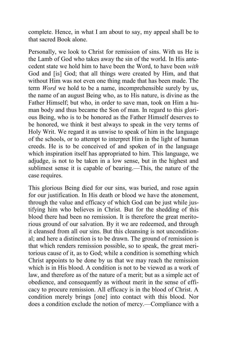complete. Hence, in what I am about to say, my appeal shall be to that sacred Book alone.

Personally, we look to Christ for remission of sins. With us He is the Lamb of God who takes away the sin of the world. In His antecedent state we hold him to have been the Word, to have been *with* God and [is] God; that all things were created by Him, and that without Him was not even one thing made that has been made. The term *Word* we hold to be a name, incomprehensible surely by us, the name of an august Being who, as to His nature, is divine as the Father Himself; but who, in order to save man, took on Him a human body and thus became the Son of man. In regard to this glorious Being, who is to be honored as the Father Himself deserves to be honored, we think it best always to speak in the very terms of Holy Writ. We regard it as unwise to speak of him in the language of the schools, or to attempt to interpret Him in the light of human creeds. He is to be conceived of and spoken of in the language which inspiration itself has appropriated to him. This language, we adjudge, is not to be taken in a low sense, but in the highest and sublimest sense it is capable of bearing.—This, the nature of the case requires.

This glorious Being died for our sins, was buried, and rose again for our justification. In His death or blood we have the atonement, through the value and efficacy of which God can be just while justifying him who believes in Christ. But for the shedding of this blood there had been no remission. It is therefore the great meritorious ground of our salvation. By it we are redeemed, and through it cleansed from all our sins. But this cleansing is not unconditional; and here a distinction is to be drawn. The ground of remission is that which renders remission possible, so to speak, the great meritorious cause of it, as to God; while a condition is something which Christ appoints to be done by us that we may reach the remission which is in His blood. A condition is not to be viewed as a work of law, and therefore as of the nature of a merit; but as a simple act of obedience, and consequently as without merit in the sense of efficacy to procure remission. All efficacy is in the blood of Christ. A condition merely brings [one] into contact with this blood. Nor does a condition exclude the notion of mercy.—Compliance with a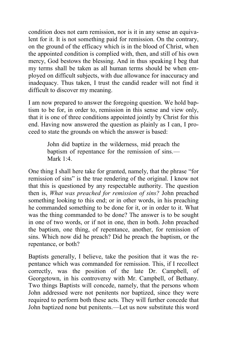condition does not earn remission, nor is it in any sense an equivalent for it. It is not something paid for remission. On the contrary, on the ground of the efficacy which is in the blood of Christ, when the appointed condition is complied with, then, and still of his own mercy, God bestows the blessing. And in thus speaking I beg that my terms shall be taken as all human terms should be when employed on difficult subjects, with due allowance for inaccuracy and inadequacy. Thus taken, I trust the candid reader will not find it difficult to discover my meaning.

I am now prepared to answer the foregoing question. We hold baptism to be for, in order to, remission in this sense and view only, that it is one of three conditions appointed jointly by Christ for this end. Having now answered the question as plainly as I can, I proceed to state the grounds on which the answer is based:

> John did baptize in the wilderness, mid preach the baptism of repentance for the remission of sins.— Mark 1:4.

One thing I shall here take for granted, namely, that the phrase "for remission of sins" is the true rendering of the original. I know not that this is questioned by any respectable authority. The question then is, *What was preached for remission of sins?* John preached something looking to this end; or in other words, in his preaching he commanded something to be done for it, or in order to it. What was the thing commanded to be done? The answer is to be sought in one of two words, or if not in one, then in both. John preached the baptism, one thing, of repentance, another, for remission of sins. Which now did he preach? Did he preach the baptism, or the repentance, or both?

Baptists generally, I believe, take the position that it was the repentance which was commanded for remission. This, if I recollect correctly, was the position of the late Dr. Campbell, of Georgetown, in his controversy with Mr. Campbell, of Bethany. Two things Baptists will concede, namely, that the persons whom John addressed were not penitents nor baptized, since they were required to perform both these acts. They will further concede that John baptized none but penitents.—Let us now substitute this word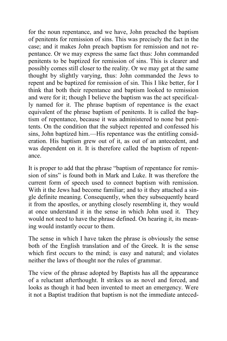for the noun repentance, and we have, John preached the baptism of penitents for remission of sins. This was precisely the fact in the case; and it makes John preach baptism for remission and not repentance. Or we may express the same fact thus: John commanded penitents to be baptized for remission of sins. This is clearer and possibly comes still closer to the reality. Or we may get at the same thought by slightly varying, thus: John commanded the Jews to repent and be baptized for remission of sin. This I like better, for I think that both their repentance and baptism looked to remission and were for it; though I believe the baptism was the act specifically named for it. The phrase baptism of repentance is the exact equivalent of the phrase baptism of penitents. It is called the baptism of repentance, because it was administered to none but penitents. On the condition that the subject repented and confessed his sins, John baptized him.—His repentance was the entitling consideration. His baptism grew out of it, as out of an antecedent, and was dependent on it. It is therefore called the baptism of repentance.

It is proper to add that the phrase "baptism of repentance for remission of sins" is found both in Mark and Luke. It was therefore the current form of speech used to connect baptism with remission. With it the Jews had become familiar; and to it they attached a single definite meaning. Consequently, when they subsequently heard it from the apostles, or anything closely resembling it, they would at once understand it in the sense in which John used it. They would not need to have the phrase defined. On hearing it, its meaning would instantly occur to them.

The sense in which I have taken the phrase is obviously the sense both of the English translation and of the Greek. It is the sense which first occurs to the mind; is easy and natural; and violates neither the laws of thought nor the rules of grammar.

The view of the phrase adopted by Baptists has all the appearance of a reluctant afterthought. It strikes us as novel and forced, and looks as though it had been invented to meet an emergency. Were it not a Baptist tradition that baptism is not the immediate anteced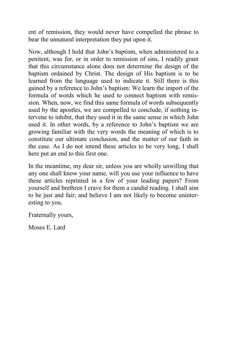ent of remission, they would never have compelled the phrase to bear the unnatural interpretation they put upon it.

Now, although I hold that John's baptism, when administered to a penitent, was for, or in order to remission of sins, I readily grant that this circumstance alone does not determine the design of the baptism ordained by Christ. The design of His baptism is to be learned from the language used to indicate it. Still there is this gained by a reference to John's baptism: We learn the import of the formula of words which he used to connect baptism with remission. When, now, we find this same formula of words subsequently used by the apostles, we are compelled to conclude, if nothing intervene to inhibit, that they used it in the same sense in which John used it. In other words, by a reference to John's baptism we are growing familiar with the very words the meaning of which is to constitute our ultimate conclusion, and the matter of our faith in the case. As I do not intend these articles to be very long, I shall here put an end to this first one.

In the meantime, my dear sir, unless you are wholly unwilling that any one shall know your name, will you use your influence to have these articles reprinted in a few of your leading papers? From yourself and brethren I crave for them a candid reading. I shall aim to be just and fair; and believe I am not likely to become uninteresting to you.

Fraternally yours,

Moses E. Lard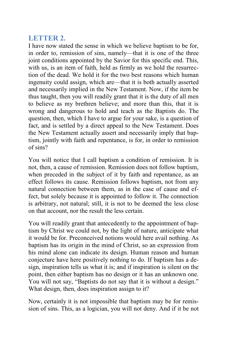#### **LETTER 2.**

I have now stated the sense in which we believe baptism to be for, in order to, remission of sins, namely—that it is one of the three joint conditions appointed by the Savior for this specific end. This, with us, is an item of faith, held as firmly as we hold the resurrection of the dead. We hold it for the two best reasons which human ingenuity could assign, which are—that it is both actually asserted and necessarily implied in the New Testament. Now, if the item be thus taught, then you will readily grant that it is the duty of all men to believe as my brethren believe; and more than this, that it is wrong and dangerous to hold and teach as the Baptists do. The question, then, which I have to argue for your sake, is a question of fact, and is settled by a direct appeal to the New Testament. Does the New Testament actually assert and necessarily imply that baptism, jointly with faith and repentance, is for, in order to remission of sins?

You will notice that I call baptism a condition of remission. It is not, then, a cause of remission. Remission does not follow baptism, when preceded in the subject of it by faith and repentance, as an effect follows its cause. Remission follows baptism, not from any natural connection between them, as in the case of cause and effect, but solely because it is appointed to follow it. The connection is arbitrary, not natural; still, it is not to be deemed the less close on that account, nor the result the less certain.

You will readily grant that antecedently to the appointment of baptism by Christ we could not, by the light of nature, anticipate what it would be for. Preconceived notions would here avail nothing. As baptism has its origin in the mind of Christ, so an expression from his mind alone can indicate its design. Human reason and human conjecture have here positively nothing to do. If baptism has a design, inspiration tells us what it is; and if inspiration is silent on the point, then either baptism has no design or it has an unknown one. You will not say, "Baptists do not say that it is without a design." What design, then, does inspiration assign to it?

Now, certainly it is not impossible that baptism may be for remission of sins. This, as a logician, you will not deny. And if it be not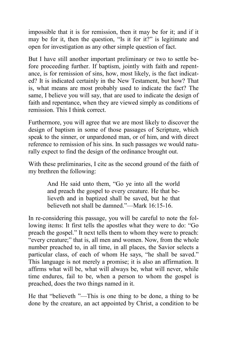impossible that it is for remission, then it may be for it; and if it may be for it, then the question, "Is it for it?" is legitimate and open for investigation as any other simple question of fact.

But I have still another important preliminary or two to settle before proceeding further. If baptism, jointly with faith and repentance, is for remission of sins, how, most likely, is the fact indicated? It is indicated certainly in the New Testament, but how? That is, what means are most probably used to indicate the fact? The same, I believe you will say, that are used to indicate the design of faith and repentance, when they are viewed simply as conditions of remission. This I think correct.

Furthermore, you will agree that we are most likely to discover the design of baptism in some of those passages of Scripture, which speak to the sinner, or unpardoned man, or of him, and with direct reference to remission of his sins. In such passages we would naturally expect to find the design of the ordinance brought out.

With these preliminaries, I cite as the second ground of the faith of my brethren the following:

> And He said unto them, "Go ye into all the world and preach the gospel to every creature. He that believeth and in baptized shall be saved, but he that believeth not shall be damned."—Mark 16:15-16.

In re-considering this passage, you will be careful to note the following items: It first tells the apostles what they were to do: "Go preach the gospel." It next tells them to whom they were to preach: "every creature;" that is, all men and women. Now, from the whole number preached to, in all time, in all places, the Savior selects a particular class, of each of whom He says, "he shall be saved." This language is not merely a promise; it is also an affirmation. It affirms what will be, what will always be, what will never, while time endures, fail to be, when a person to whom the gospel is preached, does the two things named in it.

He that "believeth "—This is one thing to be done, a thing to be done by the creature, an act appointed by Christ, a condition to be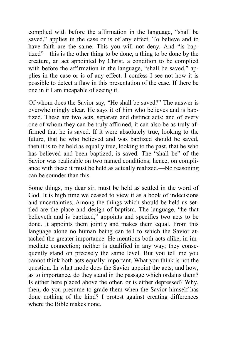complied with before the affirmation in the language, "shall be saved," applies in the case or is of any effect. To believe and to have faith are the same. This you will not deny. And "is baptized"—this is the other thing to be done, a thing to be done by the creature, an act appointed by Christ, a condition to be complied with before the affirmation in the language, "shall be saved," applies in the case or is of any effect. I confess I see not how it is possible to detect a flaw in this presentation of the case. If there be one in it I am incapable of seeing it.

Of whom does the Savior say, "He shall be saved?" The answer is overwhelmingly clear. He says it of him who believes and is baptized. These are two acts, separate and distinct acts; and of every one of whom they can be truly affirmed, it can also be as truly affirmed that he is saved. If it were absolutely true, looking to the future, that he who believed and was baptized should be saved, then it is to be held as equally true, looking to the past, that he who has believed and been baptized, is saved. The "shall be" of the Savior was realizable on two named conditions; hence, on compliance with these it must be held as actually realized.—No reasoning can be sounder than this.

Some things, my dear sir, must be held as settled in the word of God. It is high time we ceased to view it as a book of indecisions and uncertainties. Among the things which should be held us settled are the place and design of baptism. The language, "he that believeth and is baptized," appoints and specifies two acts to be done. It appoints them jointly and makes them equal. From this language alone no human being can tell to which the Savior attached the greater importance. He mentions both acts alike, in immediate connection; neither is qualified in any way; they consequently stand on precisely the same level. But you tell me you cannot think both acts equally important. What you think is not the question. In what mode does the Savior appoint the acts; and how, as to importance, do they stand in the passage which ordains them? Is either here placed above the other, or is either depressed? Why, then, do you presume to grade them when the Savior himself has done nothing of the kind? I protest against creating differences where the Bible makes none.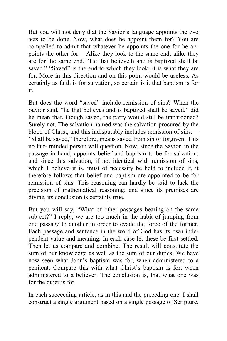But you will not deny that the Savior's language appoints the two acts to be done. Now, what does he appoint them for? You are compelled to admit that whatever he appoints the one for he appoints the other for.—Alike they look to the same end; alike they are for the same end. "He that believeth and is baptized shall be saved." "Saved" is the end to which they look; it is what they are for. More in this direction and on this point would be useless. As certainly as faith is for salvation, so certain is it that baptism is for it.

But does the word "saved" include remission of sins? When the Savior said, "he that believes and is baptized shall be saved," did he mean that, though saved, the party would still be unpardoned? Surely not. The salvation named was the salvation procured by the blood of Christ, and this indisputably includes remission of sins.— "Shall be saved," therefore, means saved from sin or forgiven. This no fair- minded person will question. Now, since the Savior, in the passage in hand, appoints belief and baptism to be for salvation; and since this salvation, if not identical with remission of sins, which I believe it is, must of necessity be held to include it, it therefore follows that belief and baptism are appointed to be for remission of sins. This reasoning can hardly be said to lack the precision of mathematical reasoning; and since its premises are divine, its conclusion is certainly true.

But you will say, "What of other passages bearing on the same subject?" I reply, we are too much in the habit of jumping from one passage to another in order to evade the force of the former. Each passage and sentence in the word of God has its own independent value and meaning. In each case let these be first settled. Then let us compare and combine. The result will constitute the sum of our knowledge as well as the sum of our duties. We have now seen what John's baptism was for, when administered to a penitent. Compare this with what Christ's baptism is for, when administered to a believer. The conclusion is, that what one was for the other is for.

In each succeeding article, as in this and the preceding one, I shall construct a single argument based on a single passage of Scripture.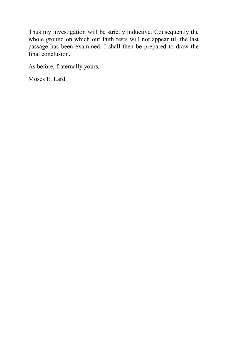Thus my investigation will be strictly inductive. Consequently the whole ground on which our faith rests will not appear till the last passage has been examined. I shall then be prepared to draw the final conclusion.

As before, fraternally yours,

Moses E. Lard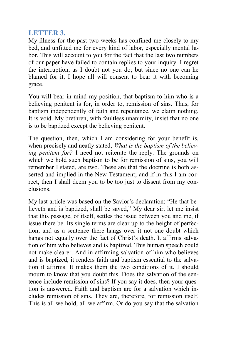#### **LETTER 3.**

My illness for the past two weeks has confined me closely to my bed, and unfitted me for every kind of labor, especially mental labor. This will account to you for the fact that the last two numbers of our paper have failed to contain replies to your inquiry. I regret the interruption, as I doubt not you do; but since no one can he blamed for it, I hope all will consent to bear it with becoming grace.

You will bear in mind my position, that baptism to him who is a believing penitent is for, in order to, remission of sins. Thus, for baptism independently of faith and repentance, we claim nothing. It is void. My brethren, with faultless unanimity, insist that no one is to be baptized except the believing penitent.

The question, then, which I am considering for your benefit is, when precisely and neatly stated, *What is the baptism of the believing penitent for?* I need not reiterate the reply. The grounds on which we hold such baptism to be for remission of sins, you will remember I stated, are two. These are that the doctrine is both asserted and implied in the New Testament; and if in this I am correct, then I shall deem you to be too just to dissent from my conclusions.

My last article was based on the Savior's declaration: "He that believeth and is baptized, shall be saved," My dear sir, let me insist that this passage, of itself, settles the issue between you and me, if issue there be. Its single terms are clear up to the height of perfection; and as a sentence there hangs over it not one doubt which hangs not equally over the fact of Christ's death. It affirms salvation of him who believes and is baptized. This human speech could not make clearer. And in affirming salvation of him who believes and is baptized, it renders faith and baptism essential to the salvation it affirms. It makes them the two conditions of it. I should mourn to know that you doubt this. Does the salvation of the sentence include remission of sins? If you say it does, then your question is answered. Faith and baptism are for a salvation which includes remission of sins. They are, therefore, for remission itself. This is all we hold, all we affirm. Or do you say that the salvation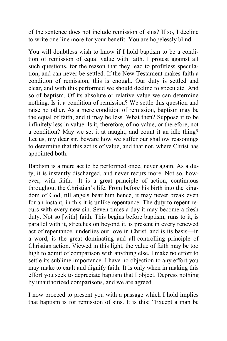of the sentence does not include remission of sins? If so, I decline to write one line more for your benefit. You are hopelessly blind.

You will doubtless wish to know if I hold baptism to be a condition of remission of equal value with faith. I protest against all such questions, for the reason that they lead to profitless speculation, and can never be settled. If the New Testament makes faith a condition of remission, this is enough. Our duty is settled and clear, and with this performed we should decline to speculate. And so of baptism. Of its absolute or relative value we can determine nothing. Is it a condition of remission? We settle this question and raise no other. As a mere condition of remission, baptism may be the equal of faith, and it may be less. What then? Suppose it to be infinitely less in value. Is it, therefore, of no value, or therefore, not a condition? May we set it at naught, and count it an idle thing? Let us, my dear sir, beware how we suffer our shallow reasonings to determine that this act is of value, and that not, where Christ has appointed both.

Baptism is a mere act to be performed once, never again. As a duty, it is instantly discharged, and never recurs more. Not so, however, with faith.—It is a great principle of action, continuous throughout the Christian's life. From before his birth into the kingdom of God, till angels bear him hence, it may never break even for an instant, in this it is unlike repentance. The duty to repent recurs with every new sin. Seven times a day it may become a fresh duty. Not so [with] faith. This begins before baptism, runs to it, is parallel with it, stretches on beyond it, is present in every renewed act of repentance, underlies our love in Christ, and is its basis—in a word, is the great dominating and all-controlling principle of Christian action. Viewed in this light, the value of faith may be too high to admit of comparison with anything else. I make no effort to settle its sublime importance. I have no objection to any effort you may make to exalt and dignify faith. It is only when in making this effort you seek to depreciate baptism that I object. Depress nothing by unauthorized comparisons, and we are agreed.

I now proceed to present you with a passage which I hold implies that baptism is for remission of sins. It is this: "Except a man be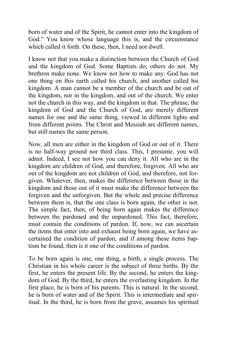born of water and of the Spirit, he cannot enter into the kingdom of God." You know whose language this is, and the circumstance which called it forth. On these, then, I need not dwell.

I know not that you make a distinction between the Church of God and the kingdom of God. Some Baptists do; others do not. My brethren make none. We know not how to make any. God has not one thing on this earth called his church, and another called his kingdom. A man cannot be a member of the church and be out of the kingdom, nor in the kingdom, and out of the church. We enter not the church in this way, and the kingdom in that. The phrase, the kingdom of God and the Church of God, are merely different names for one and the same thing, viewed in different lights and from different points. The Christ and Messiah are different names, but still names the same person.

Now, all men are either in the kingdom of God or out of it. There is no half-way ground nor third class. This, I presume, you will admit. Indeed, I see not how you can deny it. All who are in the kingdom are children of God, and therefore, forgiven. All who are out of the kingdom are not children of God, and therefore, not forgiven. Whatever, then, makes the difference between those in the kingdom and those out of it must make the difference between the forgiven and the unforgiven. But the whole and precise difference between them is, that the one class is born again, the other is not. The simple fact, then, of being born again makes the difference between the pardoned and the unpardoned. This fact, therefore, must contain the conditions of pardon. If, now, we can ascertain the items that enter into and exhaust being born again, we have ascertained the condition of pardon; and if among these items baptism be found, then is it one of the conditions of pardon.

To be born again is one, one thing, a birth, a single process. The Christian in his whole career is the subject of three births. By the first, he enters the present life. By the second, he enters the kingdom of God. By the third, he enters the everlasting kingdom. In the first place, he is born of his parents. This is natural. In the second, he is born of water and of the Spirit. This is intermediate and spiritual. In the third, he is born from the grave, assumes his spiritual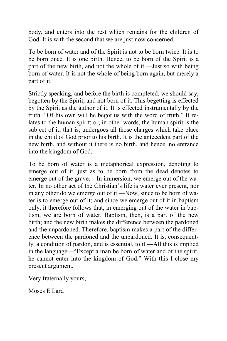body, and enters into the rest which remains for the children of God. It is with the second that we are just now concerned.

To be born of water and of the Spirit is not to be born twice. It is to be born once. It is one birth. Hence, to be born of the Spirit is a part of the new birth, and not the whole of it.—Just so with being born of water. It is not the whole of being born again, but merely a part of it.

Strictly speaking, and before the birth is completed, we should say, begotten by the Spirit, and not born of it. This begetting is effected by the Spirit as the author of it. It is effected instrumentally by the truth. "Of his own will he begot us with the word of truth." It relates to the human spirit; or, in other words, the human spirit is the subject of it; that is, undergoes all those charges which take place in the child of God prior to his birth. It is the antecedent part of the new birth, and without it there is no birth, and hence, no entrance into the kingdom of God.

To be born of water is a metaphorical expression, denoting to emerge out of it, just as to be born from the dead denotes to emerge out of the grave.—In immersion, we emerge out of the water. In no other act of the Christian's life is water ever present, nor in any other do we emerge out of it.—Now, since to be born of water is to emerge out of it; and since we emerge out of it in baptism only, it therefore follows that, in emerging out of the water in baptism, we are born of water. Baptism, then, is a part of the new birth; and the new birth makes the difference between the pardoned and the unpardoned. Therefore, baptism makes a part of the difference between the pardoned and the unpardoned. It is, consequently, a condition of pardon, and is essential, to it.—All this is implied in the language—"Except a man be born of water and of the spirit, he cannot enter into the kingdom of God." With this I close my present argument.

Very fraternally yours,

Moses E Lard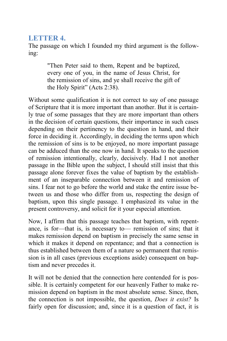#### **LETTER 4.**

The passage on which I founded my third argument is the following:

> "Then Peter said to them, Repent and be baptized, every one of you, in the name of Jesus Christ, for the remission of sins, and ye shall receive the gift of the Holy Spirit" (Acts 2:38).

Without some qualification it is not correct to say of one passage of Scripture that it is more important than another. But it is certainly true of some passages that they are more important than others in the decision of certain questions, their importance in such cases depending on their pertinency to the question in hand, and their force in deciding it. Accordingly, in deciding the terms upon which the remission of sins is to be enjoyed, no more important passage can be adduced than the one now in hand. It speaks to the question of remission intentionally, clearly, decisively. Had I not another passage in the Bible upon the subject, I should still insist that this passage alone forever fixes the value of baptism by the establishment of an inseparable connection between it and remission of sins. I fear not to go before the world and stake the entire issue between us and those who differ from us, respecting the design of baptism, upon this single passage. I emphasized its value in the present controversy, and solicit for it your especial attention.

Now, I affirm that this passage teaches that baptism, with repentance, is for—that is, is necessary to— remission of sins; that it makes remission depend on baptism in precisely the same sense in which it makes it depend on repentance; and that a connection is thus established between them of a nature so permanent that remission is in all cases (previous exceptions aside) consequent on baptism and never precedes it.

It will not be denied that the connection here contended for is possible. It is certainly competent for our heavenly Father to make remission depend on baptism in the most absolute sense. Since, then, the connection is not impossible, the question, *Does it exist?* Is fairly open for discussion; and, since it is a question of fact, it is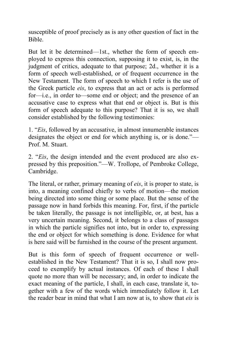susceptible of proof precisely as is any other question of fact in the Bible.

But let it be determined—1st., whether the form of speech employed to express this connection, supposing it to exist, is, in the judgment of critics, adequate to that purpose; 2d., whether it is a form of speech well-established, or of frequent occurrence in the New Testament. The form of speech to which I refer is the use of the Greek particle *eis*, to express that an act or acts is performed for—i.e., in order to—some end or object; and the presence of an accusative case to express what that end or object is. But is this form of speech adequate to this purpose? That it is so, we shall consider established by the following testimonies:

1. "*Eis*, followed by an accusative, in almost innumerable instances designates the object or end for which anything is, or is done."— Prof. M. Stuart.

2. "*Eis*, the design intended and the event produced are also expressed by this preposition."—W. Trollope, of Pembroke College, Cambridge.

The literal, or rather, primary meaning of *eis*, it is proper to state, is into, a meaning confined chiefly to verbs of motion—the motion being directed into some thing or some place. But the sense of the passage now in hand forbids this meaning. For, first, if the particle be taken literally, the passage is not intelligible, or, at best, has a very uncertain meaning. Second, it belongs to a class of passages in which the particle signifies not into, but in order to, expressing the end or object for which something is done. Evidence for what is here said will be furnished in the course of the present argument.

But is this form of speech of frequent occurrence or wellestablished in the New Testament? That it is so, I shall now proceed to exemplify by actual instances. Of each of these I shall quote no more than will be necessary; and, in order to indicate the exact meaning of the particle, I shall, in each case, translate it, together with a few of the words which immediately follow it. Let the reader bear in mind that what I am now at is, to show that *eis* is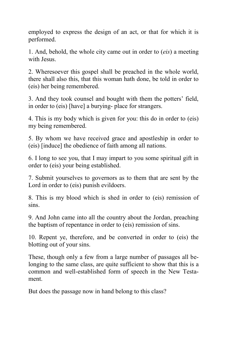employed to express the design of an act, or that for which it is performed.

1. And, behold, the whole city came out in order to (*eis*) a meeting with Jesus.

2. Wheresoever this gospel shall be preached in the whole world, there shall also this, that this woman hath done, be told in order to (eis) her being remembered.

3. And they took counsel and bought with them the potters' field, in order to (eis) [have] a burying- place for strangers.

4. This is my body which is given for you: this do in order to (eis) my being remembered.

5. By whom we have received grace and apostleship in order to (eis) [induce] the obedience of faith among all nations.

6. I long to see you, that I may impart to you some spiritual gift in order to (eis) your being established.

7. Submit yourselves to governors as to them that are sent by the Lord in order to (eis) punish evildoers.

8. This is my blood which is shed in order to (eis) remission of sins.

9. And John came into all the country about the Jordan, preaching the baptism of repentance in order to (eis) remission of sins.

10. Repent ye, therefore, and be converted in order to (eis) the blotting out of your sins.

These, though only a few from a large number of passages all belonging to the same class, are quite sufficient to show that this is a common and well-established form of speech in the New Testament.

But does the passage now in hand belong to this class?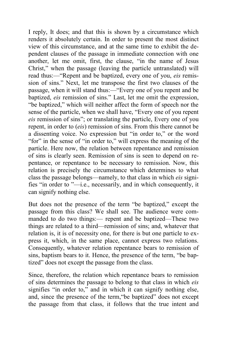I reply, It does; and that this is shown by a circumstance which renders it absolutely certain. In order to present the most distinct view of this circumstance, and at the same time to exhibit the dependent clauses of the passage in immediate connection with one another, let me omit, first, the clause, "in the name of Jesus Christ," when the passage (leaving the particle untranslated) will read thus:—"Repent and be baptized, every one of you, *eis* remission of sins." Next, let me transpose the first two clauses of the passage, when it will stand thus:—"Every one of you repent and be baptized, *eis* remission of sins." Last, let me omit the expression, "be baptized," which will neither affect the form of speech nor the sense of the particle, when we shall have, "Every one of you repent *eis* remission of sins"; or translating the particle, Every one of you repent, in order to (*eis*) remission of sins. From this there cannot be a dissenting voice. No expression but "in order to," or the word "for" in the sense of "in order to," will express the meaning of the particle. Here now, the relation between repentance and remission of sins is clearly seen. Remission of sins is seen to depend on repentance, or repentance to be necessary to remission. Now, this relation is precisely the circumstance which determines to what class the passage belongs—namely, to that class in which *eis* signifies "in order to "—i.e., necessarily, and in which consequently, it can signify nothing else.

But does not the presence of the term "be baptized," except the passage from this class? We shall see. The audience were commanded to do two things:— repent and be baptized—These two things are related to a third—remission of sins; and, whatever that relation is, it is of necessity one, for there is but one particle to express it, which, in the same place, cannot express two relations. Consequently, whatever relation repentance bears to remission of sins, baptism bears to it. Hence, the presence of the term, "be baptized" does not except the passage from the class.

Since, therefore, the relation which repentance bears to remission of sins determines the passage to belong to that class in which *eis* signifies "in order to," and in which it can signify nothing else, and, since the presence of the term,"be baptized" does not except the passage from that class, it follows that the true intent and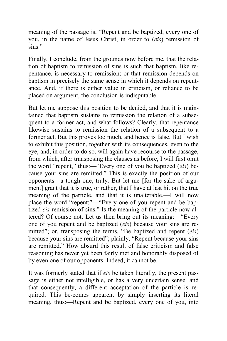meaning of the passage is, "Repent and be baptized, every one of you, in the name of Jesus Christ, in order to (*eis*) remission of sins."

Finally, I conclude, from the grounds now before me, that the relation of baptism to remission of sins is such that baptism, like repentance, is necessary to remission; or that remission depends on baptism in precisely the same sense in which it depends on repentance. And, if there is either value in criticism, or reliance to be placed on argument, the conclusion is indisputable.

But let me suppose this position to be denied, and that it is maintained that baptism sustains to remission the relation of a subsequent to a former act, and what follows? Clearly, that repentance likewise sustains to remission the relation of a subsequent to a former act. But this proves too much, and hence is false. But I wish to exhibit this position, together with its consequences, even to the eye, and, in order to do so, will again have recourse to the passage, from which, after transposing the clauses as before, I will first omit the word "repent," thus:—"Every one of you be baptized (*eis*) because your sins are remitted." This is exactly the position of our opponents—a tough one, truly. But let me [for the sake of argument] grant that it is true, or rather, that I have at last hit on the true meaning of the particle, and that it is unalterable.—I will now place the word "repent:"—"Every one of you repent and be baptized *eis* remission of sins." Is the meaning of the particle now altered? Of course not. Let us then bring out its meaning:—"Every one of you repent and be baptized (*eis*) because your sins are remitted"; or, transposing the terms, "Be baptized and repent (*eis*) because your sins are remitted"; plainly, "Repent because your sins are remitted." How absurd this result of false criticism and false reasoning has never yet been fairly met and honorably disposed of by even one of our opponents. Indeed, it cannot be.

It was formerly stated that if *eis* be taken literally, the present passage is either not intelligible, or has a very uncertain sense, and that consequently, a different acceptation of the particle is required. This be-comes apparent by simply inserting its literal meaning, thus:—Repent and be baptized, every one of you, into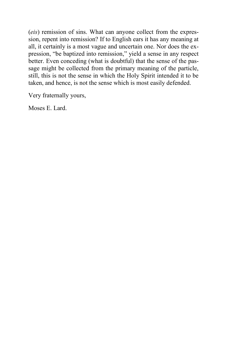(*eis*) remission of sins. What can anyone collect from the expression, repent into remission? If to English ears it has any meaning at all, it certainly is a most vague and uncertain one. Nor does the expression, "be baptized into remission," yield a sense in any respect better. Even conceding (what is doubtful) that the sense of the passage might be collected from the primary meaning of the particle, still, this is not the sense in which the Holy Spirit intended it to be taken, and hence, is not the sense which is most easily defended.

Very fraternally yours,

Moses E. Lard.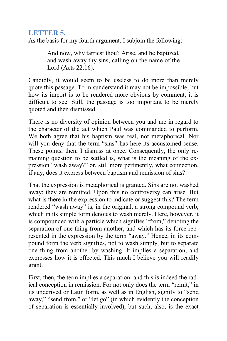#### **LETTER 5.**

As the basis for my fourth argument, I subjoin the following:

And now, why tarriest thou? Arise, and be baptized, and wash away thy sins, calling on the name of the Lord (Acts 22:16).

Candidly, it would seem to be useless to do more than merely quote this passage. To misunderstand it may not be impossible; but how its import is to be rendered more obvious by comment, it is difficult to see. Still, the passage is too important to be merely quoted and then dismissed.

There is no diversity of opinion between you and me in regard to the character of the act which Paul was commanded to perform. We both agree that his baptism was real, not metaphorical. Nor will you deny that the term "sins" has here its accustomed sense. These points, then, I dismiss at once. Consequently, the only remaining question to be settled is, what is the meaning of the expression "wash away?" or, still more pertinently, what connection, if any, does it express between baptism and remission of sins?

That the expression is metaphorical is granted. Sins are not washed away; they are remitted. Upon this no controversy can arise. But what is there in the expression to indicate or suggest this? The term rendered "wash away" is, in the original, a strong compound verb, which in its simple form denotes to wash merely. Here, however, it is compounded with a particle which signifies "from," denoting the separation of one thing from another, and which has its force represented in the expression by the term "away." Hence, in its compound form the verb signifies, not to wash simply, but to separate one thing from another by washing. It implies a separation, and expresses how it is effected. This much I believe you will readily grant.

First, then, the term implies a separation: and this is indeed the radical conception in remission. For not only does the term "remit," in its underived or Latin form, as well as in English, signify to "send away," "send from," or "let go" (in which evidently the conception of separation is essentially involved), but such, also, is the exact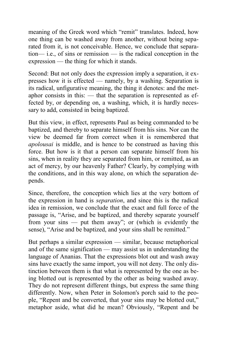meaning of the Greek word which "remit" translates. Indeed, how one thing can be washed away from another, without being separated from it, is not conceivable. Hence, we conclude that separation— i.e., of sins or remission — is the radical conception in the expression — the thing for which it stands.

Second: But not only does the expression imply a separation, it expresses how it is effected — namely, by a washing. Separation is its radical, unfigurative meaning, the thing it denotes: and the metaphor consists in this: — that the separation is represented as effected by, or depending on, a washing, which, it is hardly necessary to add, consisted in being baptized.

But this view, in effect, represents Paul as being commanded to be baptized, and thereby to separate himself from his sins. Nor can the view be deemed far from correct when it is remembered that *apolousai* is middle, and is hence to be construed as having this force. But how is it that a person can separate himself from his sins, when in reality they are separated from him, or remitted, as an act of mercy, by our heavenly Father? Clearly, by complying with the conditions, and in this way alone, on which the separation depends.

Since, therefore, the conception which lies at the very bottom of the expression in hand is *separation*, and since this is the radical idea in remission, we conclude that the exact and full force of the passage is, "Arise, and be baptized, and thereby separate yourself from your sins — put them away"; or (which is evidently the sense), "Arise and be baptized, and your sins shall be remitted."

But perhaps a similar expression — similar, because metaphorical and of the same signification — may assist us in understanding the language of Ananias. That the expressions blot out and wash away sins have exactly the same import, you will not deny. The only distinction between them is that what is represented by the one as being blotted out is represented by the other as being washed away. They do not represent different things, but express the same thing differently. Now, when Peter in Solomon's porch said to the people, "Repent and be converted, that your sins may be blotted out," metaphor aside, what did he mean? Obviously, "Repent and be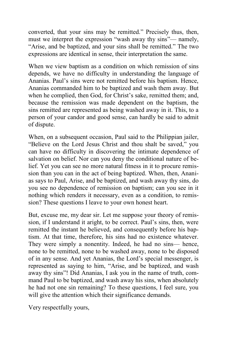converted, that your sins may be remitted." Precisely thus, then, must we interpret the expression "wash away thy sins"— namely, "Arise, and be baptized, and your sins shall be remitted." The two expressions are identical in sense, their interpretation the same.

When we view baptism as a condition on which remission of sins depends, we have no difficulty in understanding the language of Ananias. Paul's sins were not remitted before his baptism. Hence, Ananias commanded him to be baptized and wash them away. But when he complied, then God, for Christ's sake, remitted them; and, because the remission was made dependent on the baptism, the sins remitted are represented as being washed away in it. This, to a person of your candor and good sense, can hardly be said to admit of dispute.

When, on a subsequent occasion, Paul said to the Philippian jailer, "Believe on the Lord Jesus Christ and thou shalt be saved," you can have no difficulty in discovering the intimate dependence of salvation on belief. Nor can you deny the conditional nature of belief. Yet you can see no more natural fitness in it to procure remission than you can in the act of being baptized. When, then, Ananias says to Paul, Arise, and be baptized, and wash away thy sins, do you see no dependence of remission on baptism; can you see in it nothing which renders it necessary, even as a condition, to remission? These questions I leave to your own honest heart.

But, excuse me, my dear sir. Let me suppose your theory of remission, if I understand it aright, to be correct. Paul's sins, then, were remitted the instant he believed, and consequently before his baptism. At that time, therefore, his sins had no existence whatever. They were simply a nonentity. Indeed, he had no sins— hence, none to be remitted, none to be washed away, none to be disposed of in any sense. And yet Ananias, the Lord's special messenger, is represented as saying to him, "Arise, and be baptized, and wash away thy sins"! Did Ananias, I ask you in the name of truth, command Paul to be baptized, and wash away his sins, when absolutely he had not one sin remaining? To these questions, I feel sure, you will give the attention which their significance demands.

Very respectfully yours,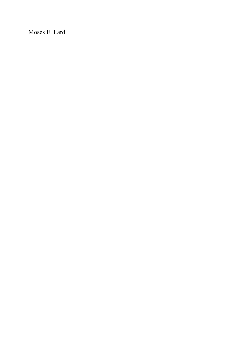Moses E. Lard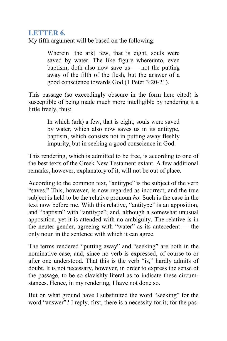#### **LETTER 6.**

My fifth argument will be based on the following:

Wherein [the ark] few, that is eight, souls were saved by water. The like figure whereunto, even baptism, doth also now save us — not the putting away of the filth of the flesh, but the answer of a good conscience towards God (1 Peter 3:20-21).

This passage (so exceedingly obscure in the form here cited) is susceptible of being made much more intelligible by rendering it a little freely, thus:

> In which (ark) a few, that is eight, souls were saved by water, which also now saves us in its antitype, baptism, which consists not in putting away fleshly impurity, but in seeking a good conscience in God.

This rendering, which is admitted to be free, is according to one of the best texts of the Greek New Testament extant. A few additional remarks, however, explanatory of it, will not be out of place.

According to the common text, "antitype" is the subject of the verb "saves." This, however, is now regarded as incorrect; and the true subject is held to be the relative pronoun *ho*. Such is the case in the text now before me. With this relative, "antitype" is an apposition, and "baptism" with "antitype"; and, although a somewhat unusual apposition, yet it is attended with no ambiguity. The relative is in the neuter gender, agreeing with "water" as its antecedent — the only noun in the sentence with which it can agree.

The terms rendered "putting away" and "seeking" are both in the nominative case, and, since no verb is expressed, of course to or after one understood. That this is the verb "is," hardly admits of doubt. It is not necessary, however, in order to express the sense of the passage, to be so slavishly literal as to indicate these circumstances. Hence, in my rendering, I have not done so.

But on what ground have I substituted the word "seeking" for the word "answer"? I reply, first, there is a necessity for it; for the pas-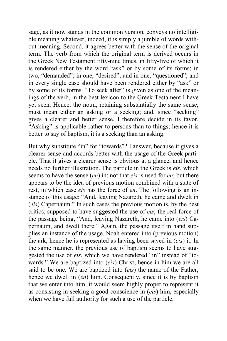sage, as it now stands in the common version, conveys no intelligible meaning whatever; indeed, it is simply a jumble of words without meaning. Second, it agrees better with the sense of the original term. The verb from which the original term is derived occurs in the Greek New Testament fifty-nine times, in fifty-five of which it is rendered either by the word "ask" or by some of its forms; in two, "demanded"; in one, "desired"; and in one, "questioned"; and in every single case should have been rendered either by "ask" or by some of its forms. "To seek after" is given as one of the meanings of the verb, in the best lexicon to the Greek Testament I have yet seen. Hence, the noun, retaining substantially the same sense, must mean either an asking or a seeking; and, since "seeking" gives a clearer and better sense, I therefore decide in its favor. "Asking" is applicable rather to persons than to things; hence it is better to say of baptism, it is a seeking than an asking.

But why substitute "in" for "towards"? I answer, because it gives a clearer sense and accords better with the usage of the Greek particle. That it gives a clearer sense is obvious at a glance, and hence needs no further illustration. The particle in the Greek is *eis*, which seems to have the sense (*en*) in: not that *eis* is used for *en*; but there appears to be the idea of previous motion combined with a state of rest, in which case *eis* has the force of *en*. The following is an instance of this usage: "And, leaving Nazareth, he came and dwelt in (*eis*) Capernaum." In such cases the previous motion is, by the best critics, supposed to have suggested the use of *eis*; the real force of the passage being, "And, leaving Nazareth, he came into (*eis*) Capernaum, and dwelt there." Again, the passage itself in hand supplies an instance of the usage. Noah entered into (previous motion) the ark; hence he is represented as having been saved in (*eis*) it. In the same manner, the previous use of baptism seems to have suggested the use of *eis*, which we have rendered "in" instead of "towards." We are baptized into (*eis*) Christ; hence in him we are all said to be one. We are baptized into (*eis*) the name of the Father; hence we dwell in (*en*) him. Consequently, since it is by baptism that we enter into him, it would seem highly proper to represent it as consisting in seeking a good conscience in (*eis*) him, especially when we have full authority for such a use of the particle.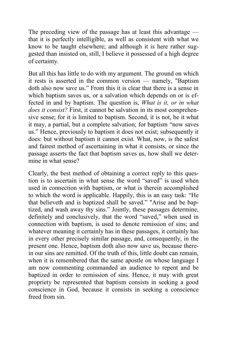The preceding view of the passage has at least this advantage that it is perfectly intelligible, as well as consistent with what we know to be taught elsewhere; and although it is here rather suggested than insisted on, still, I believe it possessed of a high degree of certainty.

But all this has little to do with my argument. The ground on which it rests is asserted in the common version — namely, "Baptism doth also now save us." From this it is clear that there is a sense in which baptism saves us, or a salvation which depends on or is effected in and by baptism. The question is, *What is it, or in what does it consist?* First, it cannot be salvation in its most comprehensive sense; for it is limited to baptism. Second, it is not, be it what it may, a partial, but a complete salvation; for baptism "now saves us." Hence, previously to baptism it does not exist; subsequently it does: but without baptism it cannot exist. What, now, is the safest and fairest method of ascertaining in what it consists, or since the passage asserts the fact that baptism saves us, how shall we determine in what sense?

Clearly, the best method of obtaining a correct reply to this question is to ascertain in what sense the word "saved" is used when used in connection with baptism, or what is therein accomplished to which the word is applicable. Happily, this is an easy task: "He that believeth and is baptized shall be saved." "Arise and be baptized, and wash away thy sins." Jointly, these passages determine, definitely and conclusively, that the word "saved," when used in connection with baptism, is used to denote remission of sins; and whatever meaning it certainly has in these passages, it certainly has in every other precisely similar passage, and, consequently, in the present one. Hence, baptism doth also now save us, because therein our sins are remitted. Of the truth of this, little doubt can remain, when it is remembered that the same apostle on whose language I am now commenting commanded an audience to repent and be baptized in order to remission of sins. Hence, it may with great propriety be represented that baptism consists in seeking a good conscience in God, because it consists in seeking a conscience freed from sin.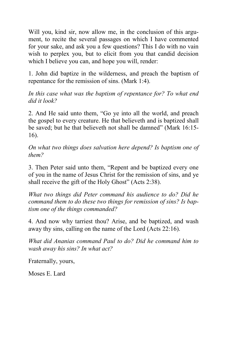Will you, kind sir, now allow me, in the conclusion of this argument, to recite the several passages on which I have commented for your sake, and ask you a few questions? This I do with no vain wish to perplex you, but to elicit from you that candid decision which I believe you can, and hope you will, render:

1. John did baptize in the wilderness, and preach the baptism of repentance for the remission of sins. (Mark 1:4).

*In this case what was the baptism of repentance for? To what end did it look?*

2. And He said unto them, "Go ye into all the world, and preach the gospel to every creature. He that believeth and is baptized shall be saved; but he that believeth not shall be damned" (Mark 16:15- 16).

*On what two things does salvation here depend? Is baptism one of them?*

3. Then Peter said unto them, "Repent and be baptized every one of you in the name of Jesus Christ for the remission of sins, and ye shall receive the gift of the Holy Ghost" (Acts 2:38).

*What two things did Peter command his audience to do? Did he command them to do these two things for remission of sins? Is baptism one of the things commanded?*

4. And now why tarriest thou? Arise, and be baptized, and wash away thy sins, calling on the name of the Lord (Acts 22:16).

*What did Ananias command Paul to do? Did he command him to wash away his sins? In what act?*

Fraternally, yours,

Moses E. Lard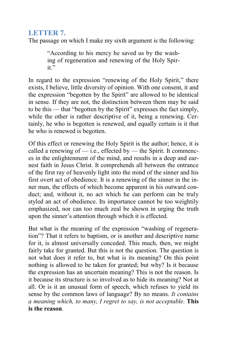#### **LETTER 7.**

The passage on which I make my sixth argument is the following:

"According to his mercy he saved us by the washing of regeneration and renewing of the Holy Spirit."

In regard to the expression "renewing of the Holy Spirit," there exists, I believe, little diversity of opinion. With one consent, it and the expression "begotten by the Spirit" are allowed to be identical in sense. If they are not, the distinction between them may be said to be this — that "begotten by the Spirit" expresses the fact simply, while the other is rather descriptive of it, being a renewing. Certainly, he who is begotten is renewed, and equally certain is it that he who is renewed is begotten.

Of this effect or renewing the Holy Spirit is the author; hence, it is called a renewing of  $-$  i.e., effected by  $-$  the Spirit. It commences in the enlightenment of the mind, and results in a deep and earnest faith in Jesus Christ. It comprehends all between the entrance of the first ray of heavenly light into the mind of the sinner and his first overt act of obedience. It is a renewing of the sinner in the inner man, the effects of which become apparent in his outward conduct; and, without it, no act which he can perform can be truly styled an act of obedience. Its importance cannot be too weightily emphasized, nor can too much zeal be shown in urging the truth upon the sinner's attention through which it is effected.

But what is the meaning of the expression "washing of regeneration"? That it refers to baptism, or is another and descriptive name for it, is almost universally conceded. This much, then, we might fairly take for granted. But this is not the question. The question is not what does it refer to, but what is its meaning? On this point nothing is allowed to be taken for granted; but why? Is it because the expression has an uncertain meaning? This is not the reason. Is it because its structure is so involved as to hide its meaning? Not at all. Or is it an unusual form of speech, which refuses to yield its sense by the common laws of language? By no means. *It contains a meaning which, to many, I regret to say, is not acceptable*. **This is the reason**.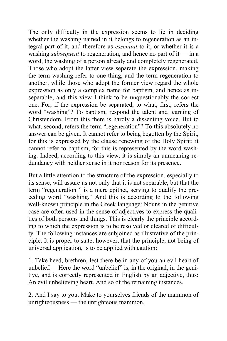The only difficulty in the expression seems to lie in deciding whether the washing named in it belongs to regeneration as an integral part of it, and therefore as *essential* to it, or whether it is a washing *subsequent* to regeneration, and hence no part of it — in a word, the washing of a person already and completely regenerated. Those who adopt the latter view separate the expression, making the term washing refer to one thing, and the term regeneration to another; while those who adopt the former view regard the whole expression as only a complex name for baptism, and hence as inseparable; and this view I think to be unquestionably the correct one. For, if the expression be separated, to what, first, refers the word "washing"? To baptism, respond the talent and learning of Christendom. From this there is hardly a dissenting voice. But to what, second, refers the term "regeneration"? To this absolutely no answer can be given. It cannot refer to being begotten by the Spirit, for this is expressed by the clause renewing of the Holy Spirit; it cannot refer to baptism, for this is represented by the word washing. Indeed, according to this view, it is simply an unmeaning redundancy with neither sense in it nor reason for its presence.

But a little attention to the structure of the expression, especially to its sense, will assure us not only that it is not separable, but that the term "regeneration " is a mere epithet, serving to qualify the preceding word "washing." And this is according to the following well-known principle in the Greek language: Nouns in the genitive case are often used in the sense of adjectives to express the qualities of both persons and things. This is clearly the principle according to which the expression is to be resolved or cleared of difficulty. The following instances are subjoined as illustrative of the principle. It is proper to state, however, that the principle, not being of universal application, is to be applied with caution:

1. Take heed, brethren, lest there be in any of you an evil heart of unbelief. —Here the word "unbelief" is, in the original, in the genitive, and is correctly represented in English by an adjective, thus: An evil unbelieving heart. And so of the remaining instances.

2. And I say to you, Make to yourselves friends of the mammon of unrighteousness — the unrighteous mammon.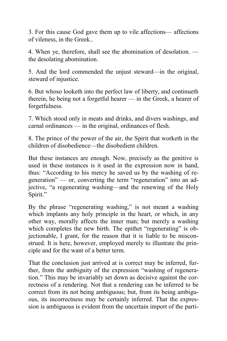3. For this cause God gave them up to vile affections— affections of vileness, in the Greek..

4. When ye, therefore, shall see the abomination of desolation. the desolating abomination.

5. And the lord commended the unjust steward—in the original, steward of injustice.

6. But whoso looketh into the perfect law of liberty, and continueth therein, he being not a forgetful hearer — in the Greek, a hearer of forgetfulness.

7. Which stood only in meats and drinks, and divers washings, and carnal ordinances — in the original, ordinances of flesh.

8. The prince of the power of the air, the Spirit that worketh in the children of disobedience—the disobedient children.

But these instances are enough. Now, precisely as the genitive is used in these instances is it used in the expression now in hand, thus: "According to his mercy he saved us by the washing of regeneration" — or, converting the term "regeneration" into an adjective, "a regenerating washing—and the renewing of the Holy Spirit."

By the phrase "regenerating washing," is not meant a washing which implants any holy principle in the heart, or which, in any other way, morally affects the inner man; but merely a washing which completes the new birth. The epithet "regenerating" is objectionable, I grant, for the reason that it is liable to be misconstrued. It is here, however, employed merely to illustrate the principle and for the want of a better term.

That the conclusion just arrived at is correct may be inferred, further, from the ambiguity of the expression "washing of regeneration." This may be invariably set down as decisive against the correctness of a rendering. Not that a rendering can be inferred to be correct from its not being ambiguous; but, from its being ambiguous, its incorrectness may be certainly inferred. That the expression is ambiguous is evident from the uncertain import of the parti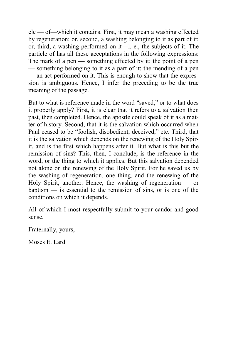cle — of—which it contains. First, it may mean a washing effected by regeneration; or, second, a washing belonging to it as part of it; or, third, a washing performed on it—i. e., the subjects of it. The particle of has all these acceptations in the following expressions: The mark of a pen — something effected by it; the point of a pen — something belonging to it as a part of it; the mending of a pen — an act performed on it. This is enough to show that the expression is ambiguous. Hence, I infer the preceding to be the true meaning of the passage.

But to what is reference made in the word "saved," or to what does it properly apply? First, it is clear that it refers to a salvation then past, then completed. Hence, the apostle could speak of it as a matter of history. Second, that it is the salvation which occurred when Paul ceased to be "foolish, disobedient, deceived," etc. Third, that it is the salvation which depends on the renewing of the Holy Spirit, and is the first which happens after it. But what is this but the remission of sins? This, then, I conclude, is the reference in the word, or the thing to which it applies. But this salvation depended not alone on the renewing of the Holy Spirit. For he saved us by the washing of regeneration, one thing, and the renewing of the Holy Spirit, another. Hence, the washing of regeneration — or baptism — is essential to the remission of sins, or is one of the conditions on which it depends.

All of which I most respectfully submit to your candor and good sense.

Fraternally, yours,

Moses E. Lard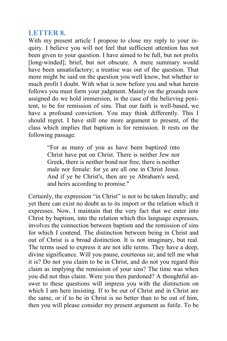#### **LETTER 8.**

With my present article I propose to close my reply to your inquiry. I believe you will not feel that sufficient attention has not been given to your question. I have aimed to be full, but not prolix [long-winded]; brief, but not obscure. A mere summary would have been unsatisfactory; a treatise was out of the question. That more might be said on the question you well know, but whether to much profit I doubt. With what is now before you and what herein follows you must form your judgment. Mainly on the grounds now assigned do we hold immersion, in the case of the believing penitent, to be for remission of sins. That our faith is well-based, we have a profound conviction. You may think differently. This I should regret. I have still one more argument to present, of the class which implies that baptism is for remission. It rests on the following passage:

> "For as many of you as have been baptized into Christ have put on Christ. There is neither Jew nor Greek, there is neither bond nor free, there is neither male nor female: for ye are all one in Christ Jesus. And if ye be Christ's, then are ye Abraham's seed, and heirs according to promise."

Certainly, the expression "in Christ" is not to be taken literally; and yet there can exist no doubt as to its import or the relation which it expresses. Now, I maintain that the very fact that we enter into Christ by baptism, into the relation which this language expresses, involves the connection between baptism and the remission of sins for which I contend. The distinction between being in Christ and out of Christ is a broad distinction. It is not imaginary, but real. The terms used to express it are not idle terms. They have a deep, divine significance. Will you pause, courteous sir, and tell me what it is? Do not you claim to be in Christ, and do not you regard this claim as implying the remission of your sins? The time was when you did not thus claim. Were you then pardoned? A thoughtful answer to these questions will impress you with the distinction on which I am here insisting. If to be out of Christ and in Christ are the same, or if to be in Christ is no better than to be out of him, then you will please consider my present argument as futile. To be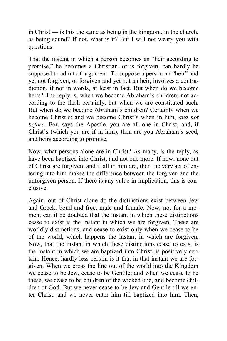in Christ — is this the same as being in the kingdom, in the church, as being sound? If not, what is it? But I will not weary you with questions.

That the instant in which a person becomes an "heir according to promise," he becomes a Christian, or is forgiven, can hardly be supposed to admit of argument. To suppose a person an "heir" and yet not forgiven, or forgiven and yet not an heir, involves a contradiction, if not in words, at least in fact. But when do we become heirs? The reply is, when we become Abraham's children; not according to the flesh certainly, but when we are constituted such. But when do we become Abraham's children? Certainly when we become Christ's; and we become Christ's when in him, *and not before*. For, says the Apostle, you are all one in Christ, and, if Christ's (which you are if in him), then are you Abraham's seed, and heirs according to promise.

Now, what persons alone are in Christ? As many, is the reply, as have been baptized into Christ, and not one more. If now, none out of Christ are forgiven, and if all in him are, then the very act of entering into him makes the difference between the forgiven and the unforgiven person. If there is any value in implication, this is conclusive.

Again, out of Christ alone do the distinctions exist between Jew and Greek, bond and free, male and female. Now, not for a moment can it be doubted that the instant in which these distinctions cease to exist is the instant in which we are forgiven. These are worldly distinctions, and cease to exist only when we cease to be of the world, which happens the instant in which are forgiven. Now, that the instant in which these distinctions cease to exist is the instant in which we are baptized into Christ, is positively certain. Hence, hardly less certain is it that in that instant we are forgiven. When we cross the line out of the world into the Kingdom we cease to be Jew, cease to be Gentile; and when we cease to be these, we cease to be children of the wicked one, and become children of God. But we never cease to be Jew and Gentile till we enter Christ, and we never enter him till baptized into him. Then,